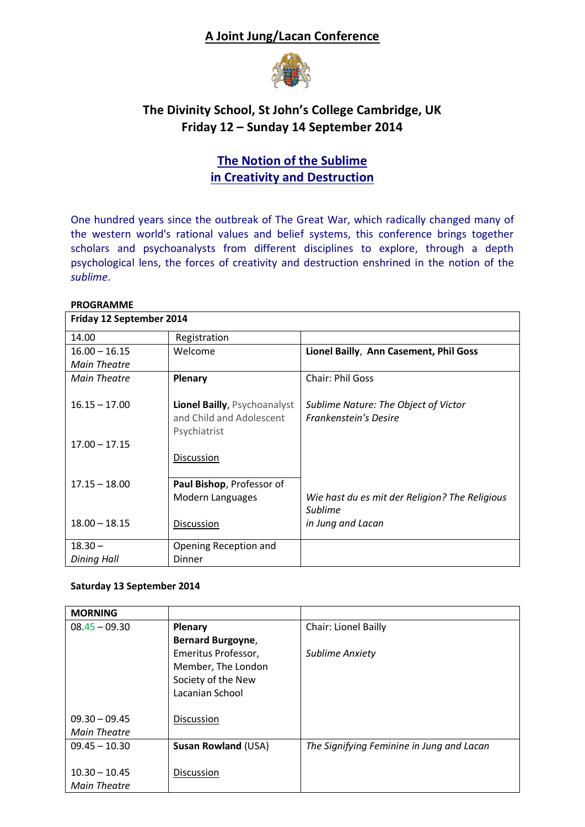## **A Joint Jung/Lacan Conference**



## **The Divinity School, St John's College Cambridge, UK Friday 12 – Sunday 14 September 2014**

# **The Notion of the Sublime in Creativity and Destruction**

One hundred years since the outbreak of The Great War, which radically changed many of the western world's rational values and belief systems, this conference brings together scholars and psychoanalysts from different disciplines to explore, through a depth psychological lens, the forces of creativity and destruction enshrined in the notion of the *sublime*.

### **PROGRAMME**

| Friday 12 September 2014 |                              |                                                |  |
|--------------------------|------------------------------|------------------------------------------------|--|
| 14.00                    | Registration                 |                                                |  |
| $16.00 - 16.15$          | Welcome                      | Lionel Bailly, Ann Casement, Phil Goss         |  |
| <b>Main Theatre</b>      |                              |                                                |  |
| Main Theatre             | <b>Plenary</b>               | <b>Chair: Phil Goss</b>                        |  |
|                          |                              |                                                |  |
| $16.15 - 17.00$          | Lionel Bailly, Psychoanalyst | Sublime Nature: The Object of Victor           |  |
|                          | and Child and Adolescent     | Frankenstein's Desire                          |  |
|                          | Psychiatrist                 |                                                |  |
| $17.00 - 17.15$          |                              |                                                |  |
|                          | Discussion                   |                                                |  |
|                          |                              |                                                |  |
| $17.15 - 18.00$          | Paul Bishop, Professor of    |                                                |  |
|                          | Modern Languages             | Wie hast du es mit der Religion? The Religious |  |
|                          |                              | Sublime                                        |  |
| $18.00 - 18.15$          | Discussion                   | in Jung and Lacan                              |  |
| $18.30 -$                | Opening Reception and        |                                                |  |
|                          |                              |                                                |  |
| Dining Hall              | <b>Dinner</b>                |                                                |  |

### **Saturday 13 September 2014**

| <b>MORNING</b>  |                            |                                           |
|-----------------|----------------------------|-------------------------------------------|
| $08.45 - 09.30$ | Plenary                    | <b>Chair: Lionel Bailly</b>               |
|                 | <b>Bernard Burgoyne,</b>   |                                           |
|                 | Emeritus Professor,        | <b>Sublime Anxiety</b>                    |
|                 | Member, The London         |                                           |
|                 | Society of the New         |                                           |
|                 | Lacanian School            |                                           |
|                 |                            |                                           |
| $09.30 - 09.45$ | Discussion                 |                                           |
| Main Theatre    |                            |                                           |
| $09.45 - 10.30$ | <b>Susan Rowland (USA)</b> | The Signifying Feminine in Jung and Lacan |
|                 |                            |                                           |
| $10.30 - 10.45$ | Discussion                 |                                           |
| Main Theatre    |                            |                                           |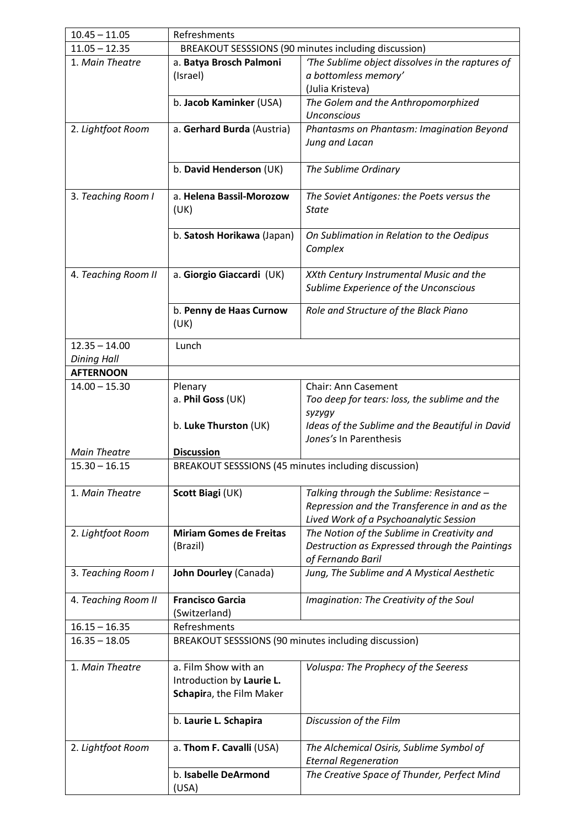| $10.45 - 11.05$     | Refreshments                                                                |                                                           |  |  |
|---------------------|-----------------------------------------------------------------------------|-----------------------------------------------------------|--|--|
| $11.05 - 12.35$     | BREAKOUT SESSSIONS (90 minutes including discussion)                        |                                                           |  |  |
| 1. Main Theatre     | 'The Sublime object dissolves in the raptures of<br>a. Batya Brosch Palmoni |                                                           |  |  |
|                     | (Israel)                                                                    | a bottomless memory'                                      |  |  |
|                     |                                                                             | (Julia Kristeva)                                          |  |  |
|                     | b. Jacob Kaminker (USA)                                                     | The Golem and the Anthropomorphized                       |  |  |
|                     |                                                                             | <b>Unconscious</b>                                        |  |  |
| 2. Lightfoot Room   | a. Gerhard Burda (Austria)                                                  | Phantasms on Phantasm: Imagination Beyond                 |  |  |
|                     |                                                                             | Jung and Lacan                                            |  |  |
|                     |                                                                             |                                                           |  |  |
|                     | b. David Henderson (UK)                                                     | The Sublime Ordinary                                      |  |  |
|                     |                                                                             |                                                           |  |  |
| 3. Teaching Room I  | a. Helena Bassil-Morozow                                                    | The Soviet Antigones: the Poets versus the                |  |  |
|                     | (UK)                                                                        | <b>State</b>                                              |  |  |
|                     |                                                                             |                                                           |  |  |
|                     | b. Satosh Horikawa (Japan)                                                  | On Sublimation in Relation to the Oedipus                 |  |  |
|                     |                                                                             | Complex                                                   |  |  |
|                     |                                                                             |                                                           |  |  |
| 4. Teaching Room II | a. Giorgio Giaccardi (UK)                                                   | XXth Century Instrumental Music and the                   |  |  |
|                     |                                                                             | Sublime Experience of the Unconscious                     |  |  |
|                     |                                                                             |                                                           |  |  |
|                     | b. Penny de Haas Curnow                                                     | Role and Structure of the Black Piano                     |  |  |
|                     | (UK)                                                                        |                                                           |  |  |
| $12.35 - 14.00$     | Lunch                                                                       |                                                           |  |  |
| <b>Dining Hall</b>  |                                                                             |                                                           |  |  |
| <b>AFTERNOON</b>    |                                                                             |                                                           |  |  |
| $14.00 - 15.30$     |                                                                             | <b>Chair: Ann Casement</b>                                |  |  |
|                     | Plenary                                                                     |                                                           |  |  |
|                     | a. Phil Goss (UK)                                                           | Too deep for tears: loss, the sublime and the             |  |  |
|                     | b. Luke Thurston (UK)                                                       | syzygy<br>Ideas of the Sublime and the Beautiful in David |  |  |
|                     |                                                                             | Jones's In Parenthesis                                    |  |  |
| <b>Main Theatre</b> |                                                                             |                                                           |  |  |
| $15.30 - 16.15$     | <b>Discussion</b>                                                           |                                                           |  |  |
|                     | BREAKOUT SESSSIONS (45 minutes including discussion)                        |                                                           |  |  |
| 1. Main Theatre     | Scott Biagi (UK)                                                            | Talking through the Sublime: Resistance -                 |  |  |
|                     |                                                                             | Repression and the Transference in and as the             |  |  |
|                     |                                                                             | Lived Work of a Psychoanalytic Session                    |  |  |
| 2. Lightfoot Room   | <b>Miriam Gomes de Freitas</b>                                              | The Notion of the Sublime in Creativity and               |  |  |
|                     | (Brazil)                                                                    | Destruction as Expressed through the Paintings            |  |  |
|                     |                                                                             | of Fernando Baril                                         |  |  |
| 3. Teaching Room I  | John Dourley (Canada)                                                       | Jung, The Sublime and A Mystical Aesthetic                |  |  |
|                     |                                                                             |                                                           |  |  |
| 4. Teaching Room II | <b>Francisco Garcia</b>                                                     | Imagination: The Creativity of the Soul                   |  |  |
|                     | (Switzerland)                                                               |                                                           |  |  |
| $16.15 - 16.35$     | Refreshments                                                                |                                                           |  |  |
| $16.35 - 18.05$     | BREAKOUT SESSSIONS (90 minutes including discussion)                        |                                                           |  |  |
|                     |                                                                             |                                                           |  |  |
| 1. Main Theatre     | a. Film Show with an                                                        | Voluspa: The Prophecy of the Seeress                      |  |  |
|                     | Introduction by Laurie L.                                                   |                                                           |  |  |
|                     | Schapira, the Film Maker                                                    |                                                           |  |  |
|                     |                                                                             |                                                           |  |  |
|                     | b. Laurie L. Schapira                                                       | Discussion of the Film                                    |  |  |
|                     |                                                                             |                                                           |  |  |
| 2. Lightfoot Room   | a. Thom F. Cavalli (USA)                                                    | The Alchemical Osiris, Sublime Symbol of                  |  |  |
|                     |                                                                             | <b>Eternal Regeneration</b>                               |  |  |
|                     | b. Isabelle DeArmond                                                        | The Creative Space of Thunder, Perfect Mind               |  |  |
|                     | (USA)                                                                       |                                                           |  |  |
|                     |                                                                             |                                                           |  |  |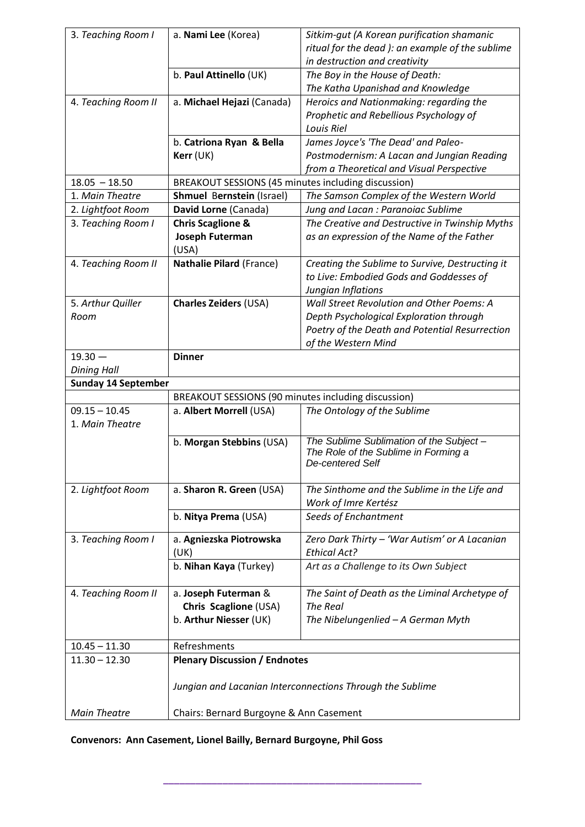| 3. Teaching Room I         | a. Nami Lee (Korea)                                       | Sitkim-gut (A Korean purification shamanic<br>ritual for the dead ): an example of the sublime |  |  |  |
|----------------------------|-----------------------------------------------------------|------------------------------------------------------------------------------------------------|--|--|--|
|                            | b. Paul Attinello (UK)                                    | in destruction and creativity<br>The Boy in the House of Death:                                |  |  |  |
|                            |                                                           | The Katha Upanishad and Knowledge                                                              |  |  |  |
| 4. Teaching Room II        | a. Michael Hejazi (Canada)                                | Heroics and Nationmaking: regarding the                                                        |  |  |  |
|                            |                                                           | Prophetic and Rebellious Psychology of                                                         |  |  |  |
|                            |                                                           | Louis Riel                                                                                     |  |  |  |
|                            | b. Catriona Ryan & Bella                                  | James Joyce's 'The Dead' and Paleo-                                                            |  |  |  |
|                            | Kerr (UK)                                                 | Postmodernism: A Lacan and Jungian Reading                                                     |  |  |  |
|                            |                                                           | from a Theoretical and Visual Perspective                                                      |  |  |  |
| $18.05 - 18.50$            | BREAKOUT SESSIONS (45 minutes including discussion)       |                                                                                                |  |  |  |
| 1. Main Theatre            | <b>Shmuel Bernstein (Israel)</b>                          | The Samson Complex of the Western World                                                        |  |  |  |
| 2. Lightfoot Room          | David Lorne (Canada)                                      | Jung and Lacan : Paranoiac Sublime                                                             |  |  |  |
| 3. Teaching Room I         | <b>Chris Scaglione &amp;</b>                              | The Creative and Destructive in Twinship Myths                                                 |  |  |  |
|                            | Joseph Futerman                                           | as an expression of the Name of the Father                                                     |  |  |  |
|                            | (USA)                                                     |                                                                                                |  |  |  |
| 4. Teaching Room II        | Nathalie Pilard (France)                                  | Creating the Sublime to Survive, Destructing it                                                |  |  |  |
|                            |                                                           | to Live: Embodied Gods and Goddesses of                                                        |  |  |  |
|                            |                                                           | Jungian Inflations                                                                             |  |  |  |
| 5. Arthur Quiller          | <b>Charles Zeiders (USA)</b>                              | Wall Street Revolution and Other Poems: A                                                      |  |  |  |
| Room                       |                                                           | Depth Psychological Exploration through                                                        |  |  |  |
|                            |                                                           | Poetry of the Death and Potential Resurrection<br>of the Western Mind                          |  |  |  |
| $19.30 -$                  | <b>Dinner</b>                                             |                                                                                                |  |  |  |
| <b>Dining Hall</b>         |                                                           |                                                                                                |  |  |  |
| <b>Sunday 14 September</b> |                                                           |                                                                                                |  |  |  |
|                            | BREAKOUT SESSIONS (90 minutes including discussion)       |                                                                                                |  |  |  |
| $09.15 - 10.45$            | a. Albert Morrell (USA)                                   | The Ontology of the Sublime                                                                    |  |  |  |
| 1. Main Theatre            |                                                           |                                                                                                |  |  |  |
|                            | b. Morgan Stebbins (USA)                                  | The Sublime Sublimation of the Subject-                                                        |  |  |  |
|                            |                                                           | The Role of the Sublime in Forming a                                                           |  |  |  |
|                            |                                                           | De-centered Self                                                                               |  |  |  |
|                            |                                                           |                                                                                                |  |  |  |
| 2. Lightfoot Room          | a. Sharon R. Green (USA)                                  | The Sinthome and the Sublime in the Life and                                                   |  |  |  |
|                            |                                                           | Work of Imre Kertész                                                                           |  |  |  |
|                            | b. Nitya Prema (USA)                                      | Seeds of Enchantment                                                                           |  |  |  |
| 3. Teaching Room I         | a. Agniezska Piotrowska                                   | Zero Dark Thirty - 'War Autism' or A Lacanian                                                  |  |  |  |
|                            | (UK)                                                      | <b>Ethical Act?</b>                                                                            |  |  |  |
|                            | b. Nihan Kaya (Turkey)                                    | Art as a Challenge to its Own Subject                                                          |  |  |  |
|                            |                                                           |                                                                                                |  |  |  |
| 4. Teaching Room II        | a. Joseph Futerman &                                      | The Saint of Death as the Liminal Archetype of                                                 |  |  |  |
|                            | Chris Scaglione (USA)                                     | The Real                                                                                       |  |  |  |
|                            | b. Arthur Niesser (UK)                                    | The Nibelungenlied - A German Myth                                                             |  |  |  |
| $10.45 - 11.30$            | Refreshments                                              |                                                                                                |  |  |  |
| $11.30 - 12.30$            | <b>Plenary Discussion / Endnotes</b>                      |                                                                                                |  |  |  |
|                            |                                                           |                                                                                                |  |  |  |
|                            | Jungian and Lacanian Interconnections Through the Sublime |                                                                                                |  |  |  |
|                            |                                                           |                                                                                                |  |  |  |
| <b>Main Theatre</b>        | Chairs: Bernard Burgoyne & Ann Casement                   |                                                                                                |  |  |  |

# **Convenors: Ann Casement, Lionel Bailly, Bernard Burgoyne, Phil Goss**

**\_\_\_\_\_\_\_\_\_\_\_\_\_\_\_\_\_\_\_\_\_\_\_\_\_\_\_\_\_\_\_\_\_\_\_\_\_\_\_\_\_\_\_\_\_\_\_\_**